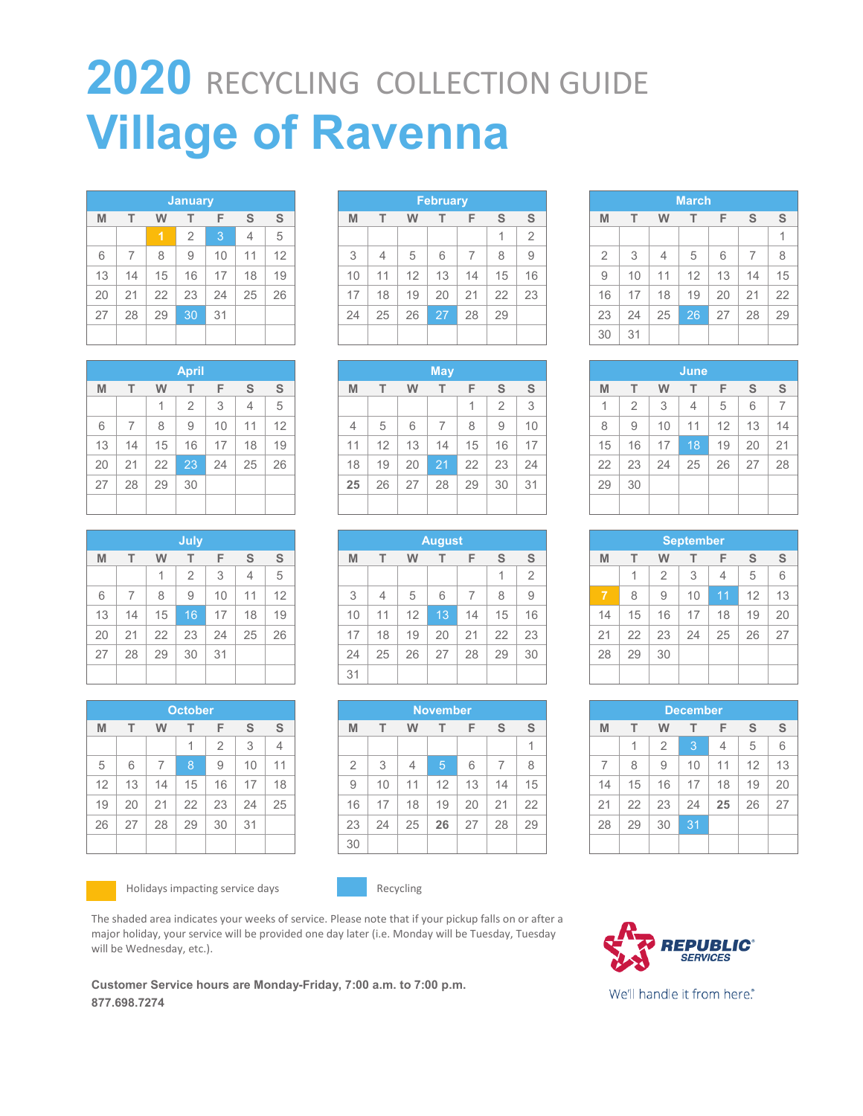# **2020** RECYCLING COLLECTION GUIDE **Village of Ravenna**

| <b>January</b> |    |    |                |    |    |    |  |
|----------------|----|----|----------------|----|----|----|--|
| M              | т  | W  | т              | F  | S  | S  |  |
|                |    | 1  | $\overline{2}$ | 3  | 4  | 5  |  |
| 6              | 7  | 8  | 9              | 10 | 11 | 12 |  |
| 13             | 14 | 15 | 16             | 17 | 18 | 19 |  |
| 20             | 21 | 22 | 23             | 24 | 25 | 26 |  |
| 27             | 28 | 29 | 30             | 31 |    |    |  |
|                |    |    |                |    |    |    |  |

| <b>April</b> |                |    |                 |    |                |    |  |  |
|--------------|----------------|----|-----------------|----|----------------|----|--|--|
| M            | т              | W  | т               | F  | S              | S  |  |  |
|              |                | 1  | $\overline{2}$  | 3  | $\overline{4}$ | 5  |  |  |
| 6            | $\overline{7}$ | 8  | 9               | 10 | 11             | 12 |  |  |
| 13           | 14             | 15 | 16              | 17 | 18             | 19 |  |  |
| 20           | 21             | 22 | $2\overline{3}$ | 24 | 25             | 26 |  |  |
| 27           | 28             | 29 | 30              |    |                |    |  |  |
|              |                |    |                 |    |                |    |  |  |

|    |    |    | July           |    |                |    |
|----|----|----|----------------|----|----------------|----|
| M  | т  | W  | т              | F  | S              | S  |
|    |    | 1  | $\overline{2}$ | 3  | $\overline{4}$ | 5  |
| 6  | 7  | 8  | 9              | 10 | 11             | 12 |
| 13 | 14 | 15 | 16             | 17 | 18             | 19 |
| 20 | 21 | 22 | 23             | 24 | 25             | 26 |
| 27 | 28 | 29 | 30             | 31 |                |    |
|    |    |    |                |    |                |    |

| <b>October</b> |    |    |    |                |    |                |  |
|----------------|----|----|----|----------------|----|----------------|--|
| M              | т  | W  | т  | F              | S  | S              |  |
|                |    |    | 1  | $\overline{2}$ | 3  | $\overline{4}$ |  |
| 5              | 6  | 7  | 8  | 9              | 10 | 11             |  |
| 12             | 13 | 14 | 15 | 16             | 17 | 18             |  |
| 19             | 20 | 21 | 22 | 23             | 24 | 25             |  |
| 26             | 27 | 28 | 29 | 30             | 31 |                |  |
|                |    |    |    |                |    |                |  |



Holidays impacting service days **Recycling** 



| <b>May</b> |    |    |    |    |                |    |  |
|------------|----|----|----|----|----------------|----|--|
| M          | т  | W  | т  | F  | S              | S  |  |
|            |    |    |    | 1  | $\overline{2}$ | 3  |  |
| 4          | 5  | 6  | 7  | 8  | 9              | 10 |  |
| 11         | 12 | 13 | 14 | 15 | 16             | 17 |  |
| 18         | 19 | 20 | 21 | 22 | 23             | 24 |  |
| 25         | 26 | 27 | 28 | 29 | 30             | 31 |  |
|            |    |    |    |    |                |    |  |

| <b>August</b> |                |    |    |    |    |                |  |
|---------------|----------------|----|----|----|----|----------------|--|
| M             | т              | W  | т  | F  | S  | S              |  |
|               |                |    |    |    | 1  | $\overline{2}$ |  |
| 3             | $\overline{4}$ | 5  | 6  | 7  | 8  | 9              |  |
| 10            | 11             | 12 | 13 | 14 | 15 | 16             |  |
| 17            | 18             | 19 | 20 | 21 | 22 | 23             |  |
| 24            | 25             | 26 | 27 | 28 | 29 | 30             |  |
| 31            |                |    |    |    |    |                |  |

| <b>November</b> |    |    |    |    |    |    |  |  |
|-----------------|----|----|----|----|----|----|--|--|
| M               | т  | w  | т  | F  | S  | S  |  |  |
|                 |    |    |    |    |    | 1  |  |  |
| $\overline{2}$  | 3  | 4  | 5  | 6  | 7  | 8  |  |  |
| 9               | 10 | 11 | 12 | 13 | 14 | 15 |  |  |
| 16              | 17 | 18 | 19 | 20 | 21 | 22 |  |  |
| 23              | 24 | 25 | 26 | 27 | 28 | 29 |  |  |
| 30              |    |    |    |    |    |    |  |  |

| <b>March</b>   |    |    |    |    |                |    |  |  |
|----------------|----|----|----|----|----------------|----|--|--|
| M              | т  | W  | т  | F  | S              | S  |  |  |
|                |    |    |    |    |                | 1  |  |  |
| $\overline{2}$ | 3  | 4  | 5  | 6  | $\overline{7}$ | 8  |  |  |
| 9              | 10 | 11 | 12 | 13 | 14             | 15 |  |  |
| 16             | 17 | 18 | 19 | 20 | 21             | 22 |  |  |
| 23             | 24 | 25 | 26 | 27 | 28             | 29 |  |  |
| 30             | 31 |    |    |    |                |    |  |  |

|    |                |    | June |    |    |    |
|----|----------------|----|------|----|----|----|
| M  | т              | W  | т    | F  | S  | S  |
| 1  | $\overline{2}$ | 3  | 4    | 5  | 6  | 7  |
| 8  | 9              | 10 | 11   | 12 | 13 | 14 |
| 15 | 16             | 17 | 18   | 19 | 20 | 21 |
| 22 | 23             | 24 | 25   | 26 | 27 | 28 |
| 29 | 30             |    |      |    |    |    |
|    |                |    |      |    |    |    |

| <b>September</b> |    |                |    |    |    |    |  |  |
|------------------|----|----------------|----|----|----|----|--|--|
| M                | т  | W              | т  | F  | S  | S  |  |  |
|                  | 1  | $\overline{2}$ | 3  | 4  | 5  | 6  |  |  |
| $\overline{7}$   | 8  | 9              | 10 | 11 | 12 | 13 |  |  |
| 14               | 15 | 16             | 17 | 18 | 19 | 20 |  |  |
| 21               | 22 | 23             | 24 | 25 | 26 | 27 |  |  |
| 28               | 29 | 30             |    |    |    |    |  |  |
|                  |    |                |    |    |    |    |  |  |

| <b>December</b> |    |                |    |    |    |    |  |  |
|-----------------|----|----------------|----|----|----|----|--|--|
| M               | T  | W              | т  | F  | S  | S  |  |  |
|                 | 1  | $\overline{2}$ | 3  | 4  | 5  | 6  |  |  |
| $\overline{7}$  | 8  | 9              | 10 | 11 | 12 | 13 |  |  |
| 14              | 15 | 16             | 17 | 18 | 19 | 20 |  |  |
| 21              | 22 | 23             | 24 | 25 | 26 | 27 |  |  |
| 28              | 29 | 30             | 31 |    |    |    |  |  |
|                 |    |                |    |    |    |    |  |  |



The shaded area indicates your weeks of service. Please note that if your pickup falls on or after a major holiday, your service will be provided one day later (i.e. Monday will be Tuesday, Tuesday will be Wednesday, etc.).

**Customer Service hours are Monday-Friday, 7:00 a.m. to 7:00 p.m. 877.698.7274** 



We'll handle it from here.